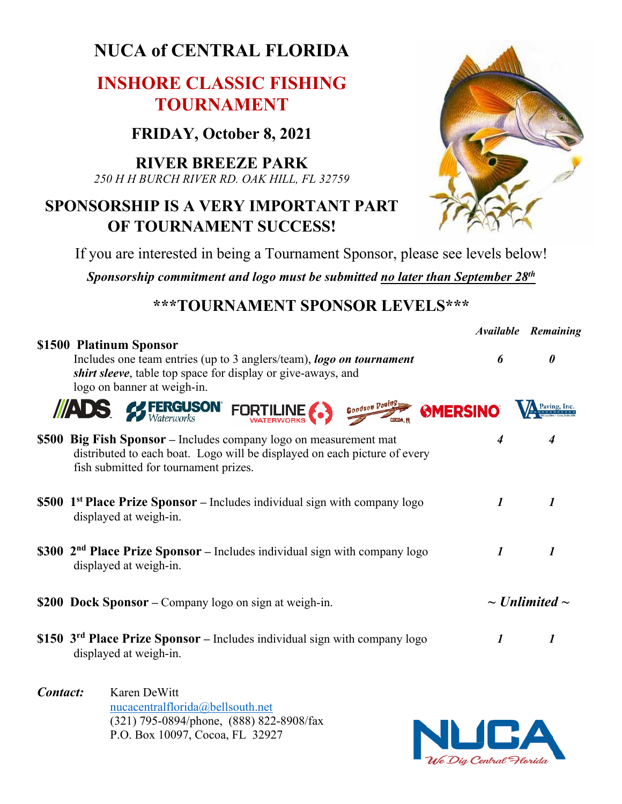# **NUCA of CENTRAL FLORIDA**

## **INSHORE CLASSIC FISHING TOURNAMENT**

**FRIDAY, October 8, 2021**

**RIVER BREEZE PARK** *250 H H BURCH RIVER RD. OAK HILL, FL 32759*

### **SPONSORSHIP IS A VERY IMPORTANT PART OF TOURNAMENT SUCCESS!**



If you are interested in being a Tournament Sponsor, please see levels below!

*Sponsorship commitment and logo must be submitted no later than September 28th*

#### **\*\*\*TOURNAMENT SPONSOR LEVELS\*\*\***

|                                                                                                                                                                                                        |                           | <b>Available Remaining</b> |  |
|--------------------------------------------------------------------------------------------------------------------------------------------------------------------------------------------------------|---------------------------|----------------------------|--|
| \$1500 Platinum Sponsor<br>Includes one team entries (up to 3 anglers/team), logo on tournament<br><i>shirt sleeve</i> , table top space for display or give-aways, and<br>logo on banner at weigh-in. | 6                         | $\boldsymbol{\theta}$      |  |
| Goodson Pouling MERSINO<br><b>ADS &amp; FERGUSON</b> FORTILINE                                                                                                                                         |                           |                            |  |
| \$500 Big Fish Sponsor – Includes company logo on measurement mat<br>distributed to each boat. Logo will be displayed on each picture of every<br>fish submitted for tournament prizes.                | $\boldsymbol{4}$          | 4                          |  |
| <b>\$500 1<sup>st</sup> Place Prize Sponsor</b> – Includes individual sign with company logo<br>displayed at weigh-in.                                                                                 | $\boldsymbol{\mathit{1}}$ | $\boldsymbol{l}$           |  |
| \$300 $2nd$ Place Prize Sponsor – Includes individual sign with company logo<br>displayed at weigh-in.                                                                                                 | $\boldsymbol{l}$          | $\boldsymbol{l}$           |  |
| \$200 Dock Sponsor – Company logo on sign at weigh-in.                                                                                                                                                 |                           | $\sim$ Unlimited $\sim$    |  |
| \$150 $3rd$ Place Prize Sponsor – Includes individual sign with company logo<br>displayed at weigh-in.                                                                                                 | $\boldsymbol{l}$          | 1                          |  |

*Contact:* Karen DeWitt nucacentralflorida@bellsouth.net (321) 795-0894/phone, (888) 822-8908/fax P.O. Box 10097, Cocoa, FL 32927